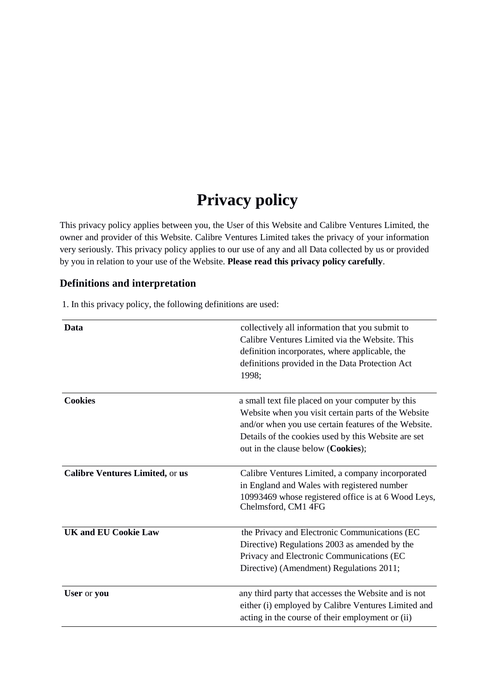# **Privacy policy**

This privacy policy applies between you, the User of this Website and Calibre Ventures Limited, the owner and provider of this Website. Calibre Ventures Limited takes the privacy of your information very seriously. This privacy policy applies to our use of any and all Data collected by us or provided by you in relation to your use of the Website. **Please read this privacy policy carefully**.

# **Definitions and interpretation**

1. In this privacy policy, the following definitions are used:

| Data                                   | collectively all information that you submit to<br>Calibre Ventures Limited via the Website. This<br>definition incorporates, where applicable, the<br>definitions provided in the Data Protection Act<br>1998;                                               |
|----------------------------------------|---------------------------------------------------------------------------------------------------------------------------------------------------------------------------------------------------------------------------------------------------------------|
| <b>Cookies</b>                         | a small text file placed on your computer by this<br>Website when you visit certain parts of the Website<br>and/or when you use certain features of the Website.<br>Details of the cookies used by this Website are set<br>out in the clause below (Cookies); |
| <b>Calibre Ventures Limited, or us</b> | Calibre Ventures Limited, a company incorporated<br>in England and Wales with registered number<br>10993469 whose registered office is at 6 Wood Leys,<br>Chelmsford, CM1 4FG                                                                                 |
| <b>UK and EU Cookie Law</b>            | the Privacy and Electronic Communications (EC<br>Directive) Regulations 2003 as amended by the<br>Privacy and Electronic Communications (EC<br>Directive) (Amendment) Regulations 2011;                                                                       |
| User or you                            | any third party that accesses the Website and is not<br>either (i) employed by Calibre Ventures Limited and<br>acting in the course of their employment or (ii)                                                                                               |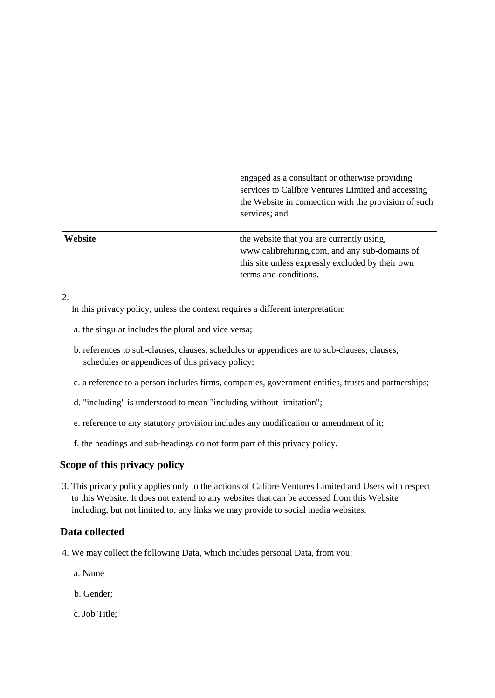engaged as a consultant or otherwise providing services to Calibre Ventures Limited and accessing the Website in connection with the provision of such services; and

**Website** that you are currently using, www.calibrehiring.com, and any sub-domains of this site unless expressly excluded by their own terms and conditions.

#### $\overline{2}$ .

In this privacy policy, unless the context requires a different interpretation:

- a. the singular includes the plural and vice versa;
- b. references to sub-clauses, clauses, schedules or appendices are to sub-clauses, clauses, schedules or appendices of this privacy policy;
- c. a reference to a person includes firms, companies, government entities, trusts and partnerships;
- d. "including" is understood to mean "including without limitation";
- e. reference to any statutory provision includes any modification or amendment of it;
- f. the headings and sub-headings do not form part of this privacy policy.

#### **Scope of this privacy policy**

3. This privacy policy applies only to the actions of Calibre Ventures Limited and Users with respect to this Website. It does not extend to any websites that can be accessed from this Website including, but not limited to, any links we may provide to social media websites.

#### **Data collected**

- 4. We may collect the following Data, which includes personal Data, from you:
	- a. Name
	- b. Gender;
	- c. Job Title;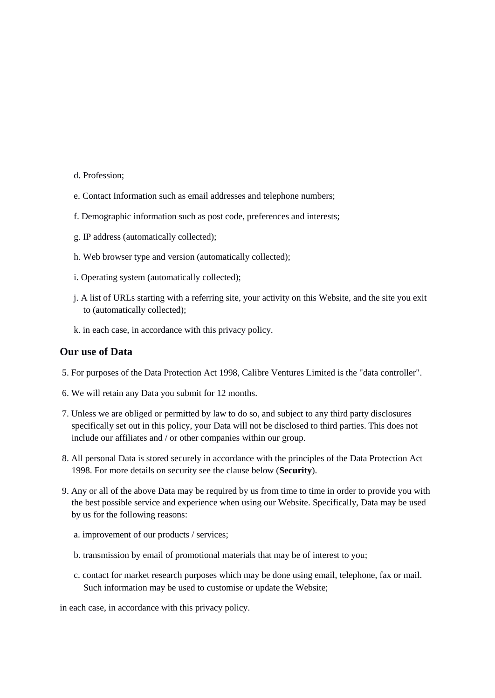- d. Profession;
- e. Contact Information such as email addresses and telephone numbers;
- f. Demographic information such as post code, preferences and interests;
- g. IP address (automatically collected);
- h. Web browser type and version (automatically collected);
- i. Operating system (automatically collected);
- j. A list of URLs starting with a referring site, your activity on this Website, and the site you exit to (automatically collected);
- k. in each case, in accordance with this privacy policy.

#### **Our use of Data**

- 5. For purposes of the Data Protection Act 1998, Calibre Ventures Limited is the "data controller".
- 6. We will retain any Data you submit for 12 months.
- 7. Unless we are obliged or permitted by law to do so, and subject to any third party disclosures specifically set out in this policy, your Data will not be disclosed to third parties. This does not include our affiliates and / or other companies within our group.
- 8. All personal Data is stored securely in accordance with the principles of the Data Protection Act 1998. For more details on security see the clause below (**Security**).
- 9. Any or all of the above Data may be required by us from time to time in order to provide you with the best possible service and experience when using our Website. Specifically, Data may be used by us for the following reasons:
	- a. improvement of our products / services;
	- b. transmission by email of promotional materials that may be of interest to you;
	- c. contact for market research purposes which may be done using email, telephone, fax or mail. Such information may be used to customise or update the Website;

in each case, in accordance with this privacy policy.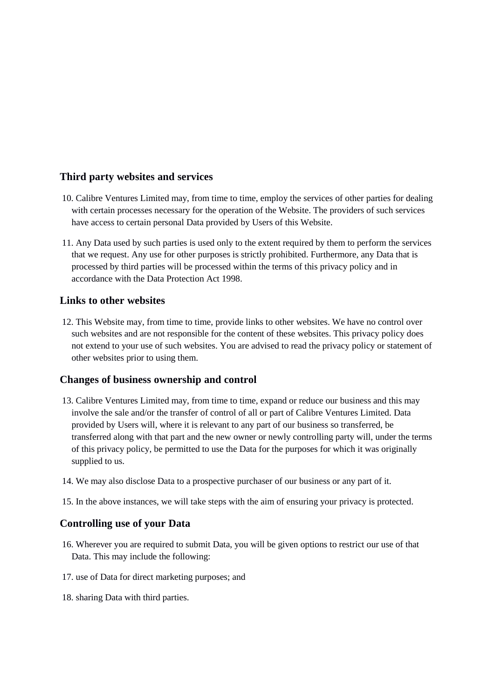# **Third party websites and services**

- 10. Calibre Ventures Limited may, from time to time, employ the services of other parties for dealing with certain processes necessary for the operation of the Website. The providers of such services have access to certain personal Data provided by Users of this Website.
- 11. Any Data used by such parties is used only to the extent required by them to perform the services that we request. Any use for other purposes is strictly prohibited. Furthermore, any Data that is processed by third parties will be processed within the terms of this privacy policy and in accordance with the Data Protection Act 1998.

# **Links to other websites**

12. This Website may, from time to time, provide links to other websites. We have no control over such websites and are not responsible for the content of these websites. This privacy policy does not extend to your use of such websites. You are advised to read the privacy policy or statement of other websites prior to using them.

# **Changes of business ownership and control**

- 13. Calibre Ventures Limited may, from time to time, expand or reduce our business and this may involve the sale and/or the transfer of control of all or part of Calibre Ventures Limited. Data provided by Users will, where it is relevant to any part of our business so transferred, be transferred along with that part and the new owner or newly controlling party will, under the terms of this privacy policy, be permitted to use the Data for the purposes for which it was originally supplied to us.
- 14. We may also disclose Data to a prospective purchaser of our business or any part of it.
- 15. In the above instances, we will take steps with the aim of ensuring your privacy is protected.

# **Controlling use of your Data**

- 16. Wherever you are required to submit Data, you will be given options to restrict our use of that Data. This may include the following:
- 17. use of Data for direct marketing purposes; and
- 18. sharing Data with third parties.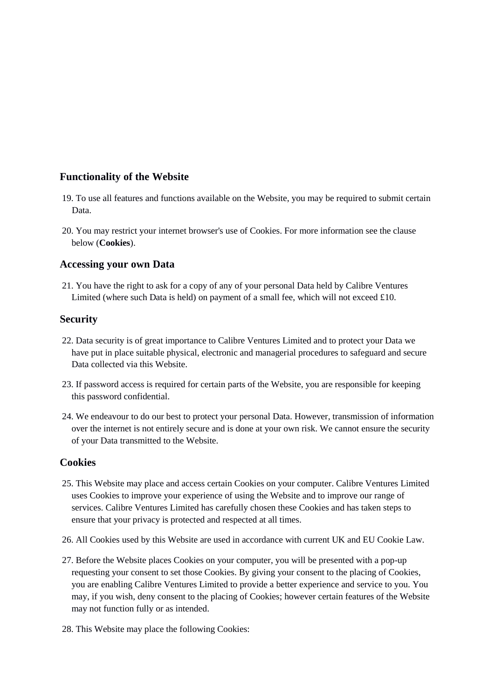# **Functionality of the Website**

- 19. To use all features and functions available on the Website, you may be required to submit certain Data.
- 20. You may restrict your internet browser's use of Cookies. For more information see the clause below (**Cookies**).

#### **Accessing your own Data**

21. You have the right to ask for a copy of any of your personal Data held by Calibre Ventures Limited (where such Data is held) on payment of a small fee, which will not exceed  $£10$ .

### **Security**

- 22. Data security is of great importance to Calibre Ventures Limited and to protect your Data we have put in place suitable physical, electronic and managerial procedures to safeguard and secure Data collected via this Website.
- 23. If password access is required for certain parts of the Website, you are responsible for keeping this password confidential.
- 24. We endeavour to do our best to protect your personal Data. However, transmission of information over the internet is not entirely secure and is done at your own risk. We cannot ensure the security of your Data transmitted to the Website.

#### **Cookies**

- 25. This Website may place and access certain Cookies on your computer. Calibre Ventures Limited uses Cookies to improve your experience of using the Website and to improve our range of services. Calibre Ventures Limited has carefully chosen these Cookies and has taken steps to ensure that your privacy is protected and respected at all times.
- 26. All Cookies used by this Website are used in accordance with current UK and EU Cookie Law.
- 27. Before the Website places Cookies on your computer, you will be presented with a pop-up requesting your consent to set those Cookies. By giving your consent to the placing of Cookies, you are enabling Calibre Ventures Limited to provide a better experience and service to you. You may, if you wish, deny consent to the placing of Cookies; however certain features of the Website may not function fully or as intended.
- 28. This Website may place the following Cookies: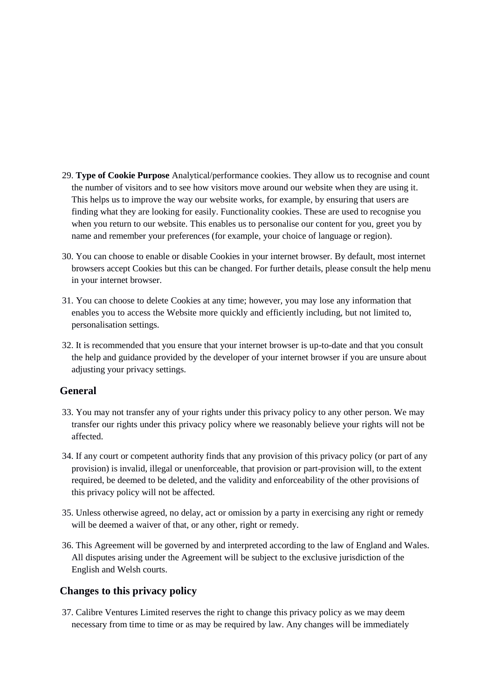- 29. **Type of Cookie Purpose** Analytical/performance cookies. They allow us to recognise and count the number of visitors and to see how visitors move around our website when they are using it. This helps us to improve the way our website works, for example, by ensuring that users are finding what they are looking for easily. Functionality cookies. These are used to recognise you when you return to our website. This enables us to personalise our content for you, greet you by name and remember your preferences (for example, your choice of language or region).
- 30. You can choose to enable or disable Cookies in your internet browser. By default, most internet browsers accept Cookies but this can be changed. For further details, please consult the help menu in your internet browser.
- 31. You can choose to delete Cookies at any time; however, you may lose any information that enables you to access the Website more quickly and efficiently including, but not limited to, personalisation settings.
- 32. It is recommended that you ensure that your internet browser is up-to-date and that you consult the help and guidance provided by the developer of your internet browser if you are unsure about adjusting your privacy settings.

# **General**

- 33. You may not transfer any of your rights under this privacy policy to any other person. We may transfer our rights under this privacy policy where we reasonably believe your rights will not be affected.
- 34. If any court or competent authority finds that any provision of this privacy policy (or part of any provision) is invalid, illegal or unenforceable, that provision or part-provision will, to the extent required, be deemed to be deleted, and the validity and enforceability of the other provisions of this privacy policy will not be affected.
- 35. Unless otherwise agreed, no delay, act or omission by a party in exercising any right or remedy will be deemed a waiver of that, or any other, right or remedy.
- 36. This Agreement will be governed by and interpreted according to the law of England and Wales. All disputes arising under the Agreement will be subject to the exclusive jurisdiction of the English and Welsh courts.

#### **Changes to this privacy policy**

37. Calibre Ventures Limited reserves the right to change this privacy policy as we may deem necessary from time to time or as may be required by law. Any changes will be immediately